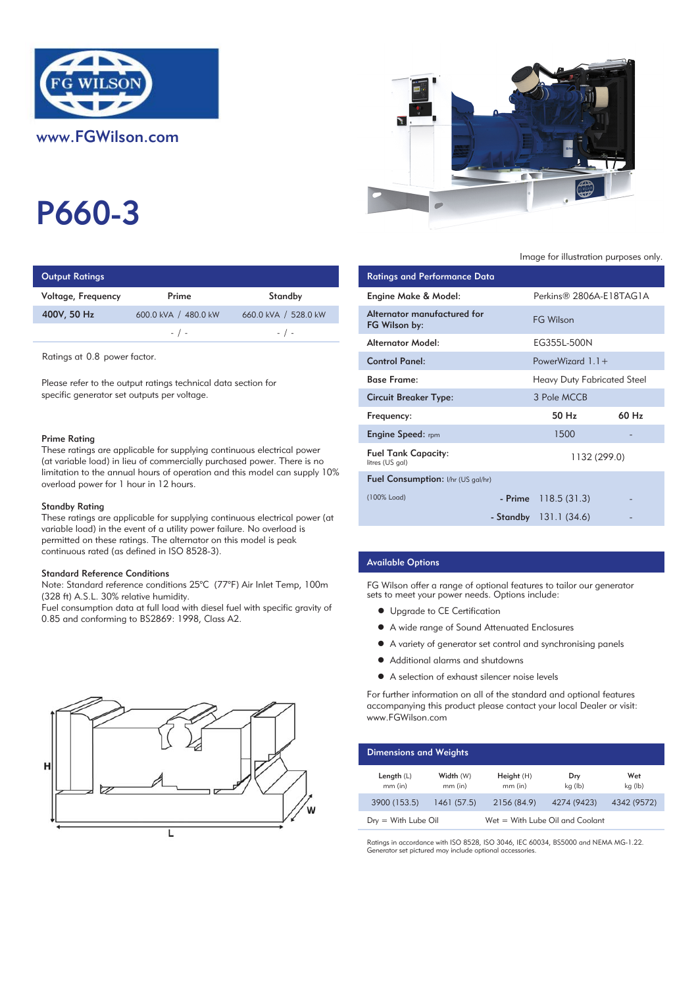

P660-3

| <b>Output Ratings</b> |                      | <b>Ratings and Performance Data</b> |                                              |
|-----------------------|----------------------|-------------------------------------|----------------------------------------------|
| Voltage, Frequency    | Prime                | Standby                             | Engine Make & Model:                         |
| 400V, 50 Hz           | 600.0 kVA / 480.0 kW | 660.0 kVA / 528.0 kW                | Alternator manufactured for<br>FG Wilson by: |
|                       | $-$ / $-$            | $-$ / $-$                           |                                              |
|                       |                      |                                     | والمام ماليات متعمر مسمعا الم                |

Ratings at 0.8 power factor.

Please refer to the output ratings technical data section for specific generator set outputs per voltage.

#### Prime Rating

These ratings are applicable for supplying continuous electrical power (at variable load) in lieu of commercially purchased power. There is no limitation to the annual hours of operation and this model can supply 10% overload power for 1 hour in 12 hours.

#### Standby Rating

These ratings are applicable for supplying continuous electrical power (at variable load) in the event of a utility power failure. No overload is permitted on these ratings. The alternator on this model is peak continuous rated (as defined in ISO 8528-3).

#### Standard Reference Conditions

Note: Standard reference conditions 25°C (77°F) Air Inlet Temp, 100m (328 ft) A.S.L. 30% relative humidity.

Fuel consumption data at full load with diesel fuel with specific gravity of 0.85 and conforming to BS2869: 1998, Class A2.





Image for illustration purposes only.

| <b>Ratings and Performance Data</b>           |                             |                   |
|-----------------------------------------------|-----------------------------|-------------------|
| Engine Make & Model:                          | Perkins® 2806A-E18TAG1A     |                   |
| Alternator manufactured for<br>FG Wilson by:  | <b>FG Wilson</b>            |                   |
| Alternator Model:                             | EG355L-500N                 |                   |
| <b>Control Panel:</b>                         | PowerWizard $1.1+$          |                   |
| <b>Base Frame:</b>                            | Heavy Duty Fabricated Steel |                   |
| <b>Circuit Breaker Type:</b>                  | 3 Pole MCCB                 |                   |
| Frequency:                                    | 50 Hz                       | 60 H <sub>z</sub> |
| <b>Engine Speed:</b> rpm                      | 1500                        |                   |
| <b>Fuel Tank Capacity:</b><br>litres (US gal) | 1132 (299.0)                |                   |
| <b>Fuel Consumption:</b> I/hr (US gal/hr)     |                             |                   |
| (100% Load)                                   | $-$ Prime 118.5 (31.3)      |                   |
|                                               | - Standby 131.1 (34.6)      |                   |

## Available Options

FG Wilson offer a range of optional features to tailor our generator sets to meet your power needs. Options include:

- **•** Upgrade to CE Certification
- A wide range of Sound Attenuated Enclosures
- A variety of generator set control and synchronising panels
- Additional alarms and shutdowns
- A selection of exhaust silencer noise levels

For further information on all of the standard and optional features accompanying this product please contact your local Dealer or visit: www.FGWilson.com

| <b>Dimensions and Weights</b> |                        |                                 |                |                |
|-------------------------------|------------------------|---------------------------------|----------------|----------------|
| Length $(L)$<br>$mm$ (in)     | Width (W)<br>$mm$ (in) | Height(H)<br>$mm$ (in)          | Dry<br>kg (lb) | Wet<br>kg (lb) |
| 3900 (153.5)                  | 1461(57.5)             | 2156 (84.9)                     | 4274 (9423)    | 4342 (9572)    |
| $Drv = With Lube Oil$         |                        | Wet = With Lube Oil and Coolant |                |                |

Ratings in accordance with ISO 8528, ISO 3046, IEC 60034, BS5000 and NEMA MG-1.22. Generator set pictured may include optional accessories.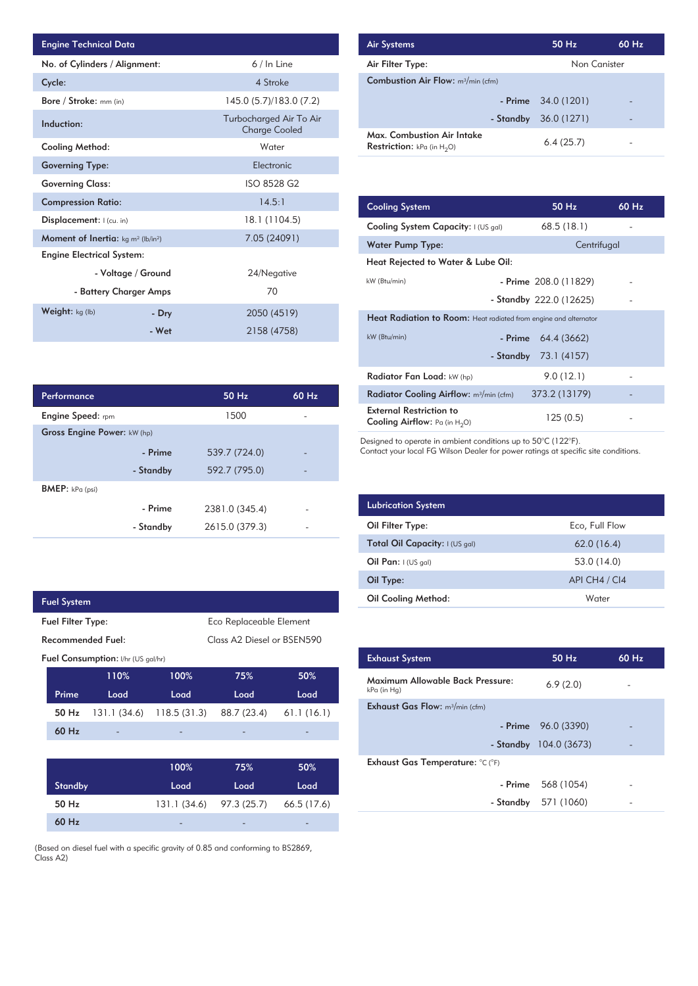| <b>Engine Technical Data</b>                               |                    |                                                 | <b>Air Systems</b>  |
|------------------------------------------------------------|--------------------|-------------------------------------------------|---------------------|
| No. of Cylinders / Alignment:                              |                    | $6/ln$ Line                                     | Air Filter Ty       |
| Cycle:                                                     |                    | 4 Stroke                                        | <b>Combustion</b>   |
| <b>Bore / Stroke:</b> mm (in)                              |                    | 145.0 (5.7)/183.0 (7.2)                         |                     |
| Induction:                                                 |                    | Turbocharged Air To Air<br><b>Charge Cooled</b> | Max. Comb           |
| Cooling Method:                                            |                    | Water                                           | <b>Restriction:</b> |
| <b>Governing Type:</b>                                     |                    | Electronic                                      |                     |
| <b>Governing Class:</b>                                    |                    | ISO 8528 G2                                     |                     |
| <b>Compression Ratio:</b>                                  |                    | 14.5:1                                          | <b>Cooling Sys</b>  |
| Displacement: I (cu. in)                                   |                    | 18.1 (1104.5)                                   | <b>Cooling Sys</b>  |
| Moment of Inertia: kg m <sup>2</sup> (lb/in <sup>2</sup> ) |                    | 7.05 (24091)                                    | Water Pum           |
| <b>Engine Electrical System:</b>                           |                    |                                                 | <b>Heat Reject</b>  |
|                                                            | - Voltage / Ground | 24/Negative                                     |                     |
| - Battery Charger Amps                                     |                    | 70                                              | kW (Btu/min)        |
| <b>Weight:</b> $kg$ (lb)                                   | - Dry              | 2050 (4519)                                     | <b>Heat Radia</b>   |
|                                                            | - Wet              | 2158 (4758)                                     | kW (Btu/min)        |

| <b>Air Systems</b>                                                 | $50$ Hz                | 60 Hz |
|--------------------------------------------------------------------|------------------------|-------|
| Air Filter Type:                                                   | Non Canister           |       |
| <b>Combustion Air Flow:</b> m <sup>3</sup> /min (cfm)              |                        |       |
|                                                                    | $-$ Prime $34.0(1201)$ |       |
| - Standby                                                          | 36.0 (1271)            |       |
| Max. Combustion Air Intake<br><b>Restriction:</b> kPa (in $H_2O$ ) | 6.4(25.7)              |       |

| 14.5:1         | <b>Cooling System</b>                                                     | 50 Hz                   | $60$ Hz |
|----------------|---------------------------------------------------------------------------|-------------------------|---------|
| 18.1 (1104.5)  | Cooling System Capacity: I (US gal)                                       | 68.5(18.1)              |         |
| 7.05 (24091)   | <b>Water Pump Type:</b>                                                   | Centrifugal             |         |
|                | Heat Rejected to Water & Lube Oil:                                        |                         |         |
| 24/Negative    | kW (Btu/min)                                                              | - Prime 208.0 (11829)   |         |
| 70             |                                                                           | - Standby 222.0 (12625) |         |
| 2050 (4519)    | <b>Heat Radiation to Room:</b> Heat radiated from engine and alternator   |                         |         |
| 2158 (4758)    | kW (Btu/min)<br>- Prime                                                   | 64.4 (3662)             |         |
|                | - Standby                                                                 | 73.1 (4157)             |         |
|                | Radiator Fan Load: kW (hp)                                                | 9.0(12.1)               |         |
| 50 Hz<br>60 Hz | Radiator Cooling Airflow: m <sup>3</sup> /min (cfm)                       | 373.2 (13179)           |         |
| 1500           | <b>External Restriction to</b><br><b>Cooling Airflow:</b> Pa (in $H_2O$ ) | 125(0.5)                |         |

Designed to operate in ambient conditions up to 50°C (122°F).

Contact your local FG Wilson Dealer for power ratings at specific site conditions.

| <b>Lubrication System</b>      |                |
|--------------------------------|----------------|
| Oil Filter Type:               | Eco, Full Flow |
| Total Oil Capacity: I (US gal) | 62.0(16.4)     |
| Oil Pan: $I(US gal)$           | 53.0 (14.0)    |
| Oil Type:                      | API CH4 / CI4  |
| <b>Oil Cooling Method:</b>     | Water          |

| <b>Exhaust System</b>                           | $50$ Hz                | 60 Hz |
|-------------------------------------------------|------------------------|-------|
| Maximum Allowable Back Pressure:<br>kPa (in Hg) | 6.9(2.0)               |       |
| <b>Exhaust Gas Flow:</b> $m^3/m$ in (cfm)       |                        |       |
|                                                 | $-$ Prime $96.0(3390)$ |       |
|                                                 | - Standby 104.0 (3673) |       |
| Exhaust Gas Temperature: °C (°F)                |                        |       |
|                                                 | - Prime 568 (1054)     |       |
|                                                 | - Standby 571 (1060)   |       |
|                                                 |                        |       |

| Performance                 |           | 50 Hz          | 60 Hz                    |
|-----------------------------|-----------|----------------|--------------------------|
| <b>Engine Speed:</b> rpm    |           | 1500           |                          |
| Gross Engine Power: kW (hp) |           |                |                          |
|                             | - Prime   | 539.7 (724.0)  |                          |
|                             | - Standby | 592.7 (795.0)  | $\overline{\phantom{0}}$ |
| <b>BMEP:</b> kPa (psi)      |           |                |                          |
|                             | - Prime   | 2381.0 (345.4) |                          |
|                             | - Standby | 2615.0 (379.3) |                          |

| <b>Fuel System</b> |                                                     |             |                            |             |
|--------------------|-----------------------------------------------------|-------------|----------------------------|-------------|
|                    | Eco Replaceable Element<br><b>Fuel Filter Type:</b> |             |                            |             |
| Recommended Fuel:  |                                                     |             | Class A2 Diesel or BSEN590 |             |
|                    | <b>Fuel Consumption:</b> I/hr (US gal/hr)           |             |                            |             |
|                    | 110%                                                | 100%        | 75%                        | 50%         |
| Prime              | Load                                                | Load        | Load                       | Load        |
| 50 Hz              | 131.1 (34.6)                                        | 118.5(31.3) | 88.7 (23.4)                | 61.1(16.1)  |
| 60 Hz              |                                                     |             |                            |             |
|                    |                                                     |             |                            |             |
|                    |                                                     | 100%        | 75%                        | 50%         |
| <b>Standby</b>     |                                                     | Load        | Load                       | Load        |
| 50 Hz              |                                                     | 131.1(34.6) | 97.3 (25.7)                | 66.5 (17.6) |
| 60 Hz              |                                                     |             |                            |             |

(Based on diesel fuel with a specific gravity of 0.85 and conforming to BS2869, Class A2)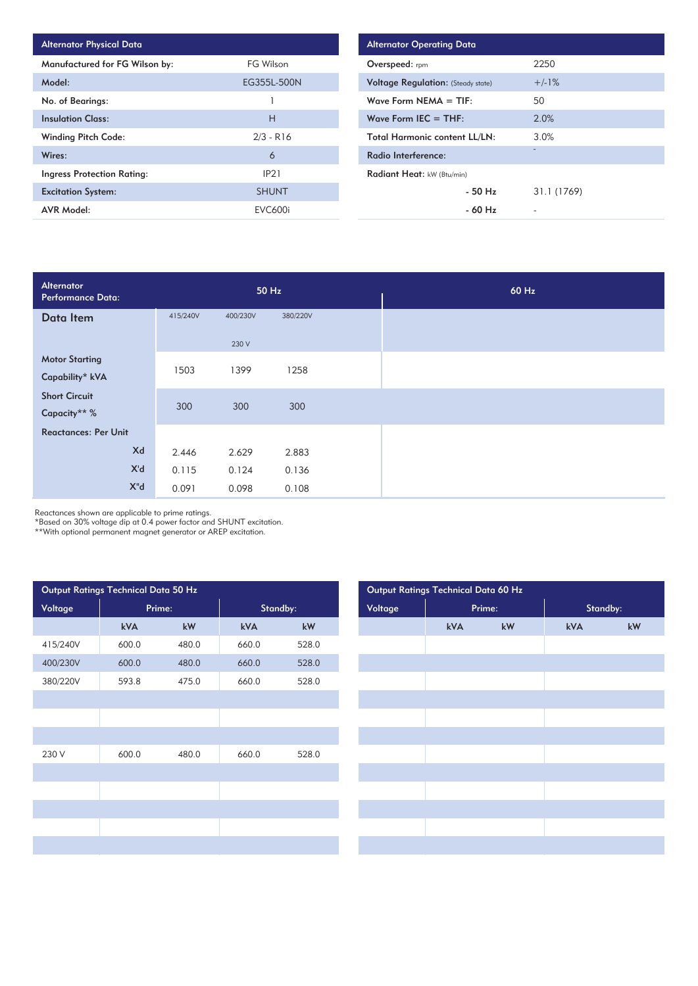| <b>Alternator Physical Data</b> |                   |
|---------------------------------|-------------------|
| Manufactured for FG Wilson by:  | FG Wilson         |
| Model:                          | EG355L-500N       |
| No. of Bearings:                |                   |
| <b>Insulation Class:</b>        | н                 |
| <b>Winding Pitch Code:</b>      | $2/3 - R16$       |
| Wires:                          | 6                 |
| Ingress Protection Rating:      | IP <sub>2</sub> 1 |
| <b>Excitation System:</b>       | <b>SHUNT</b>      |
| <b>AVR Model:</b>               | <b>EVC600i</b>    |

| <b>Alternator Operating Data</b>          |             |  |  |
|-------------------------------------------|-------------|--|--|
| Overspeed: rpm                            | 2250        |  |  |
| <b>Voltage Regulation: (Steady state)</b> | $+/-1%$     |  |  |
| Wave Form NEMA $=$ TIF:                   | 50          |  |  |
| Wave Form IEC $=$ THF:                    | 2.0%        |  |  |
| <b>Total Harmonic content LL/LN:</b>      | 3.0%        |  |  |
| Radio Interference:                       | -           |  |  |
| Radiant Heat: kW (Btu/min)                |             |  |  |
| $-50$ H <sub>z</sub>                      | 31.1 (1769) |  |  |
| $-60$ Hz                                  |             |  |  |

| Alternator<br><b>Performance Data:</b> |          |          | 50 Hz    |  |
|----------------------------------------|----------|----------|----------|--|
| Data Item                              | 415/240V | 400/230V | 380/220V |  |
|                                        |          | 230 V    |          |  |
| <b>Motor Starting</b>                  | 1503     | 1399     | 1258     |  |
| Capability* kVA                        |          |          |          |  |
| <b>Short Circuit</b>                   | 300      | 300      | 300      |  |
| Capacity** %                           |          |          |          |  |
| <b>Reactances: Per Unit</b>            |          |          |          |  |
| Xd                                     | 2.446    | 2.629    | 2.883    |  |
| X'd                                    | 0.115    | 0.124    | 0.136    |  |
| $X^{\mathsf{H}}$ d                     | 0.091    | 0.098    | 0.108    |  |

Reactances shown are applicable to prime ratings.

\*Based on 30% voltage dip at 0.4 power factor and SHUNT excitation.

\*\*With optional permanent magnet generator or AREP excitation.

| Output Ratings Technical Data 50 Hz |        |       |          | Output Ratings Technical Data 60 Hz |                   |  |     |          |     |
|-------------------------------------|--------|-------|----------|-------------------------------------|-------------------|--|-----|----------|-----|
| Voltage                             | Prime: |       | Standby: |                                     | Voltage<br>Prime: |  |     | Standby: |     |
|                                     | kVA    | kW    | kVA      | kW                                  |                   |  | kVA | kW       | kVA |
| 415/240V                            | 600.0  | 480.0 | 660.0    | 528.0                               |                   |  |     |          |     |
| 400/230V                            | 600.0  | 480.0 | 660.0    | 528.0                               |                   |  |     |          |     |
| 380/220V                            | 593.8  | 475.0 | 660.0    | 528.0                               |                   |  |     |          |     |
|                                     |        |       |          |                                     |                   |  |     |          |     |
|                                     |        |       |          |                                     |                   |  |     |          |     |
|                                     |        |       |          |                                     |                   |  |     |          |     |
| 230 V                               | 600.0  | 480.0 | 660.0    | 528.0                               |                   |  |     |          |     |
|                                     |        |       |          |                                     |                   |  |     |          |     |
|                                     |        |       |          |                                     |                   |  |     |          |     |
|                                     |        |       |          |                                     |                   |  |     |          |     |
|                                     |        |       |          |                                     |                   |  |     |          |     |
|                                     |        |       |          |                                     |                   |  |     |          |     |
|                                     |        |       |          |                                     |                   |  |     |          |     |